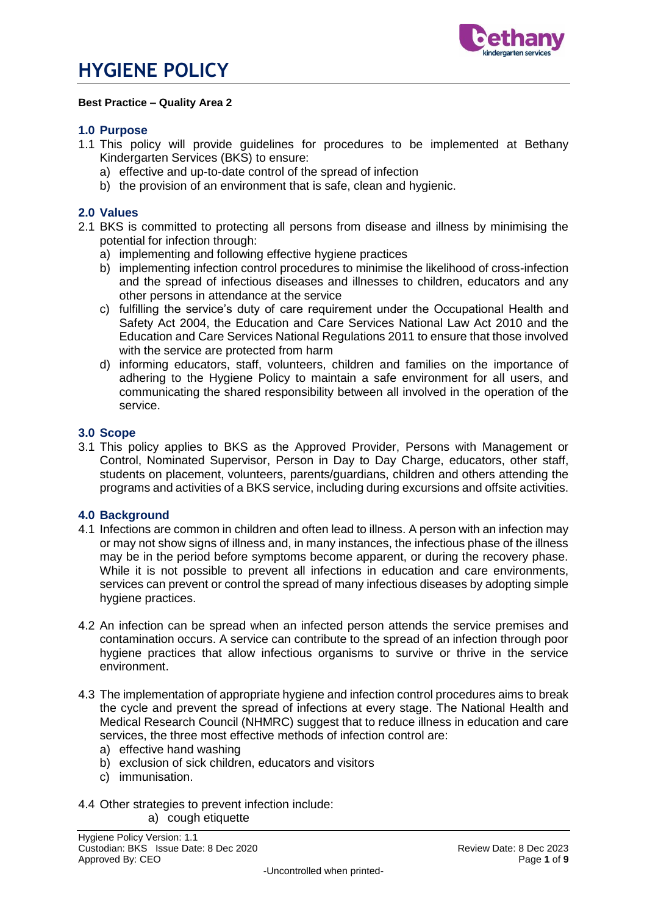

#### **Best Practice – Quality Area 2**

#### **1.0 Purpose**

- 1.1 This policy will provide guidelines for procedures to be implemented at Bethany Kindergarten Services (BKS) to ensure:
	- a) effective and up-to-date control of the spread of infection
	- b) the provision of an environment that is safe, clean and hygienic.

#### **2.0 Values**

- 2.1 BKS is committed to protecting all persons from disease and illness by minimising the potential for infection through:
	- a) implementing and following effective hygiene practices
	- b) implementing infection control procedures to minimise the likelihood of cross-infection and the spread of infectious diseases and illnesses to children, educators and any other persons in attendance at the service
	- c) fulfilling the service's duty of care requirement under the Occupational Health and Safety Act 2004, the Education and Care Services National Law Act 2010 and the Education and Care Services National Regulations 2011 to ensure that those involved with the service are protected from harm
	- d) informing educators, staff, volunteers, children and families on the importance of adhering to the Hygiene Policy to maintain a safe environment for all users, and communicating the shared responsibility between all involved in the operation of the service.

#### **3.0 Scope**

3.1 This policy applies to BKS as the Approved Provider, Persons with Management or Control, Nominated Supervisor, Person in Day to Day Charge, educators, other staff, students on placement, volunteers, parents/guardians, children and others attending the programs and activities of a BKS service, including during excursions and offsite activities.

#### **4.0 Background**

- 4.1 Infections are common in children and often lead to illness. A person with an infection may or may not show signs of illness and, in many instances, the infectious phase of the illness may be in the period before symptoms become apparent, or during the recovery phase. While it is not possible to prevent all infections in education and care environments, services can prevent or control the spread of many infectious diseases by adopting simple hygiene practices.
- 4.2 An infection can be spread when an infected person attends the service premises and contamination occurs. A service can contribute to the spread of an infection through poor hygiene practices that allow infectious organisms to survive or thrive in the service environment.
- 4.3 The implementation of appropriate hygiene and infection control procedures aims to break the cycle and prevent the spread of infections at every stage. The National Health and Medical Research Council (NHMRC) suggest that to reduce illness in education and care services, the three most effective methods of infection control are:
	- a) effective hand washing
	- b) exclusion of sick children, educators and visitors
	- c) immunisation.
- 4.4 Other strategies to prevent infection include:

a) cough etiquette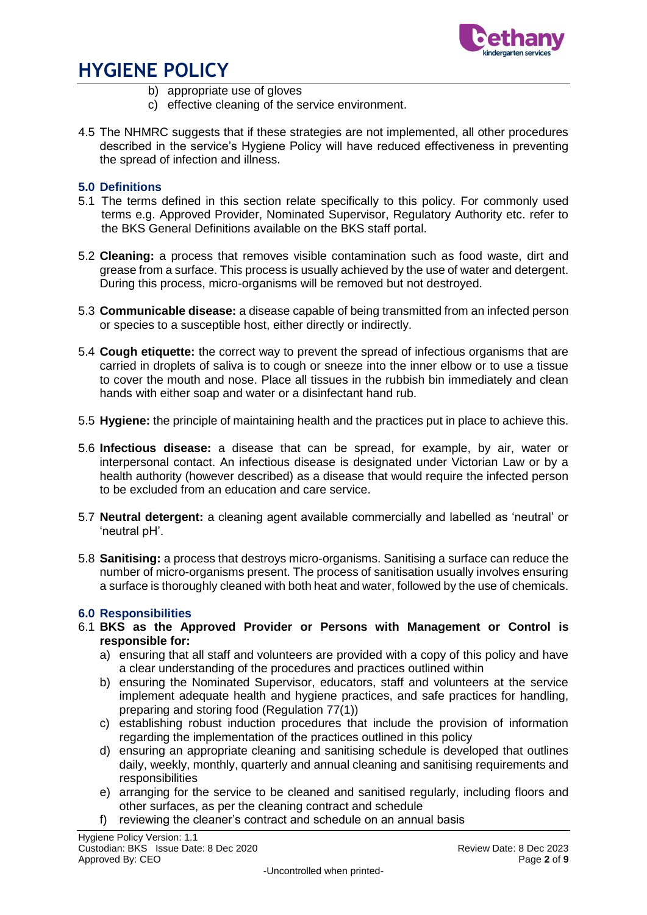

- b) appropriate use of gloves
- c) effective cleaning of the service environment.
- 4.5 The NHMRC suggests that if these strategies are not implemented, all other procedures described in the service's Hygiene Policy will have reduced effectiveness in preventing the spread of infection and illness.

## **5.0 Definitions**

- 5.1 The terms defined in this section relate specifically to this policy. For commonly used terms e.g. Approved Provider, Nominated Supervisor, Regulatory Authority etc. refer to the BKS General Definitions available on the BKS staff portal.
- 5.2 **Cleaning:** a process that removes visible contamination such as food waste, dirt and grease from a surface. This process is usually achieved by the use of water and detergent. During this process, micro-organisms will be removed but not destroyed.
- 5.3 **Communicable disease:** a disease capable of being transmitted from an infected person or species to a susceptible host, either directly or indirectly.
- 5.4 **Cough etiquette:** the correct way to prevent the spread of infectious organisms that are carried in droplets of saliva is to cough or sneeze into the inner elbow or to use a tissue to cover the mouth and nose. Place all tissues in the rubbish bin immediately and clean hands with either soap and water or a disinfectant hand rub.
- 5.5 **Hygiene:** the principle of maintaining health and the practices put in place to achieve this.
- 5.6 **Infectious disease:** a disease that can be spread, for example, by air, water or interpersonal contact. An infectious disease is designated under Victorian Law or by a health authority (however described) as a disease that would require the infected person to be excluded from an education and care service.
- 5.7 **Neutral detergent:** a cleaning agent available commercially and labelled as 'neutral' or 'neutral pH'.
- 5.8 **Sanitising:** a process that destroys micro-organisms. Sanitising a surface can reduce the number of micro-organisms present. The process of sanitisation usually involves ensuring a surface is thoroughly cleaned with both heat and water, followed by the use of chemicals.

## **6.0 Responsibilities**

- 6.1 **BKS as the Approved Provider or Persons with Management or Control is responsible for:**
	- a) ensuring that all staff and volunteers are provided with a copy of this policy and have a clear understanding of the procedures and practices outlined within
	- b) ensuring the Nominated Supervisor, educators, staff and volunteers at the service implement adequate health and hygiene practices, and safe practices for handling, preparing and storing food (Regulation 77(1))
	- c) establishing robust induction procedures that include the provision of information regarding the implementation of the practices outlined in this policy
	- d) ensuring an appropriate cleaning and sanitising schedule is developed that outlines daily, weekly, monthly, quarterly and annual cleaning and sanitising requirements and responsibilities
	- e) arranging for the service to be cleaned and sanitised regularly, including floors and other surfaces, as per the cleaning contract and schedule
	- f) reviewing the cleaner's contract and schedule on an annual basis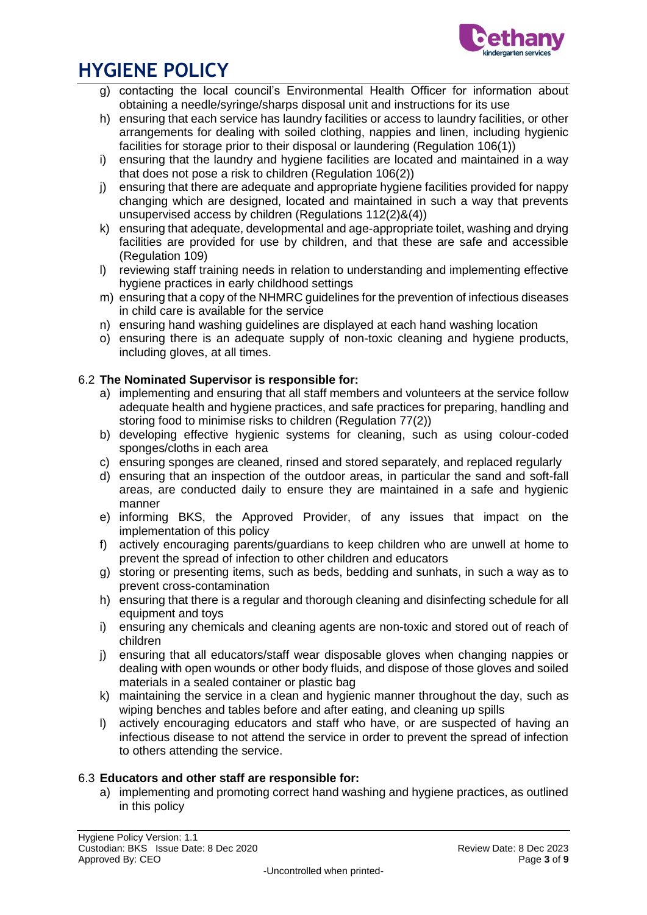

- g) contacting the local council's Environmental Health Officer for information about obtaining a needle/syringe/sharps disposal unit and instructions for its use
- h) ensuring that each service has laundry facilities or access to laundry facilities, or other arrangements for dealing with soiled clothing, nappies and linen, including hygienic facilities for storage prior to their disposal or laundering (Regulation 106(1))
- i) ensuring that the laundry and hygiene facilities are located and maintained in a way that does not pose a risk to children (Regulation 106(2))
- j) ensuring that there are adequate and appropriate hygiene facilities provided for nappy changing which are designed, located and maintained in such a way that prevents unsupervised access by children (Regulations 112(2)&(4))
- k) ensuring that adequate, developmental and age-appropriate toilet, washing and drying facilities are provided for use by children, and that these are safe and accessible (Regulation 109)
- l) reviewing staff training needs in relation to understanding and implementing effective hygiene practices in early childhood settings
- m) ensuring that a copy of the NHMRC guidelines for the prevention of infectious diseases in child care is available for the service
- n) ensuring hand washing guidelines are displayed at each hand washing location
- o) ensuring there is an adequate supply of non-toxic cleaning and hygiene products, including gloves, at all times.

### 6.2 **The Nominated Supervisor is responsible for:**

- a) implementing and ensuring that all staff members and volunteers at the service follow adequate health and hygiene practices, and safe practices for preparing, handling and storing food to minimise risks to children (Regulation 77(2))
- b) developing effective hygienic systems for cleaning, such as using colour-coded sponges/cloths in each area
- c) ensuring sponges are cleaned, rinsed and stored separately, and replaced regularly
- d) ensuring that an inspection of the outdoor areas, in particular the sand and soft-fall areas, are conducted daily to ensure they are maintained in a safe and hygienic manner
- e) informing BKS, the Approved Provider, of any issues that impact on the implementation of this policy
- f) actively encouraging parents/guardians to keep children who are unwell at home to prevent the spread of infection to other children and educators
- g) storing or presenting items, such as beds, bedding and sunhats, in such a way as to prevent cross-contamination
- h) ensuring that there is a regular and thorough cleaning and disinfecting schedule for all equipment and toys
- i) ensuring any chemicals and cleaning agents are non-toxic and stored out of reach of children
- j) ensuring that all educators/staff wear disposable gloves when changing nappies or dealing with open wounds or other body fluids, and dispose of those gloves and soiled materials in a sealed container or plastic bag
- k) maintaining the service in a clean and hygienic manner throughout the day, such as wiping benches and tables before and after eating, and cleaning up spills
- l) actively encouraging educators and staff who have, or are suspected of having an infectious disease to not attend the service in order to prevent the spread of infection to others attending the service.

### 6.3 **Educators and other staff are responsible for:**

a) implementing and promoting correct hand washing and hygiene practices, as outlined in this policy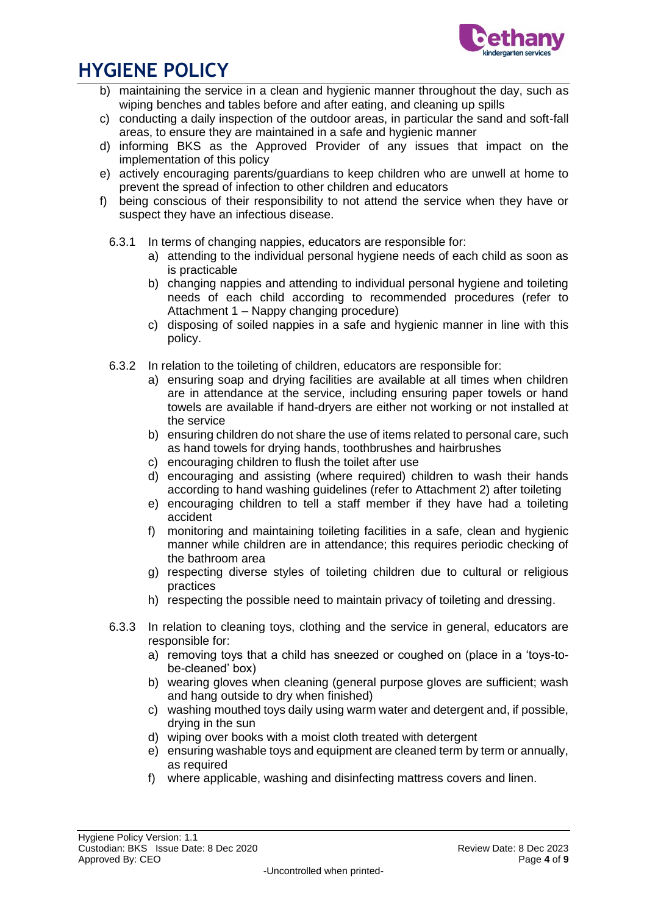

- b) maintaining the service in a clean and hygienic manner throughout the day, such as wiping benches and tables before and after eating, and cleaning up spills
- c) conducting a daily inspection of the outdoor areas, in particular the sand and soft-fall areas, to ensure they are maintained in a safe and hygienic manner
- d) informing BKS as the Approved Provider of any issues that impact on the implementation of this policy
- e) actively encouraging parents/guardians to keep children who are unwell at home to prevent the spread of infection to other children and educators
- f) being conscious of their responsibility to not attend the service when they have or suspect they have an infectious disease.
	- 6.3.1 In terms of changing nappies, educators are responsible for:
		- a) attending to the individual personal hygiene needs of each child as soon as is practicable
		- b) changing nappies and attending to individual personal hygiene and toileting needs of each child according to recommended procedures (refer to Attachment 1 – Nappy changing procedure)
		- c) disposing of soiled nappies in a safe and hygienic manner in line with this policy.
	- 6.3.2 In relation to the toileting of children, educators are responsible for:
		- a) ensuring soap and drying facilities are available at all times when children are in attendance at the service, including ensuring paper towels or hand towels are available if hand-dryers are either not working or not installed at the service
		- b) ensuring children do not share the use of items related to personal care, such as hand towels for drying hands, toothbrushes and hairbrushes
		- c) encouraging children to flush the toilet after use
		- d) encouraging and assisting (where required) children to wash their hands according to hand washing guidelines (refer to Attachment 2) after toileting
		- e) encouraging children to tell a staff member if they have had a toileting accident
		- f) monitoring and maintaining toileting facilities in a safe, clean and hygienic manner while children are in attendance; this requires periodic checking of the bathroom area
		- g) respecting diverse styles of toileting children due to cultural or religious practices
		- h) respecting the possible need to maintain privacy of toileting and dressing.
	- 6.3.3 In relation to cleaning toys, clothing and the service in general, educators are responsible for:
		- a) removing toys that a child has sneezed or coughed on (place in a 'toys-tobe-cleaned' box)
		- b) wearing gloves when cleaning (general purpose gloves are sufficient; wash and hang outside to dry when finished)
		- c) washing mouthed toys daily using warm water and detergent and, if possible, drying in the sun
		- d) wiping over books with a moist cloth treated with detergent
		- e) ensuring washable toys and equipment are cleaned term by term or annually, as required
		- f) where applicable, washing and disinfecting mattress covers and linen.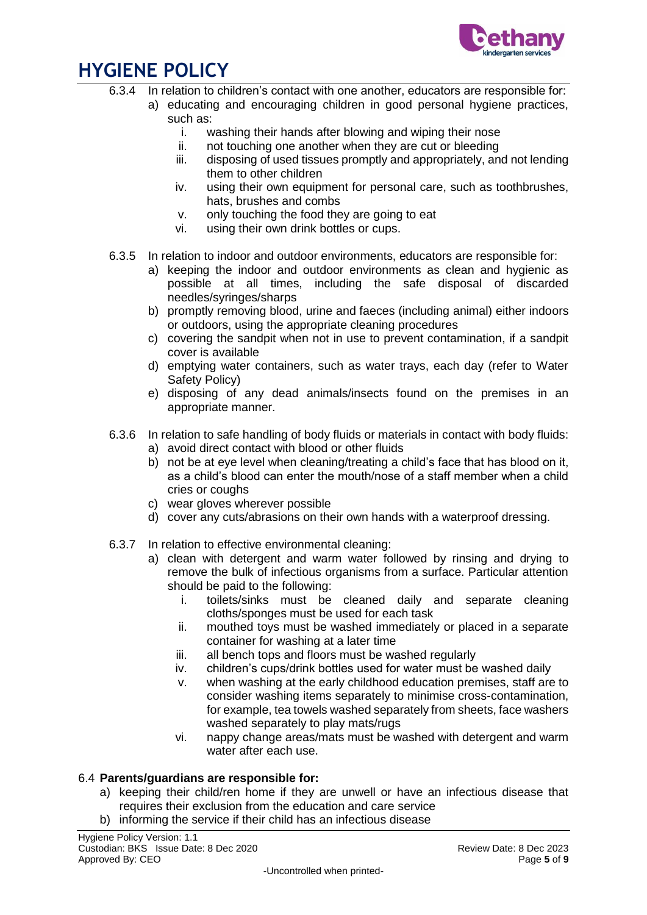

- 6.3.4 In relation to children's contact with one another, educators are responsible for:
	- a) educating and encouraging children in good personal hygiene practices, such as:
		- i. washing their hands after blowing and wiping their nose
		- ii. not touching one another when they are cut or bleeding
		- iii. disposing of used tissues promptly and appropriately, and not lending them to other children
		- iv. using their own equipment for personal care, such as toothbrushes, hats, brushes and combs
		- v. only touching the food they are going to eat
		- vi. using their own drink bottles or cups.
- 6.3.5 In relation to indoor and outdoor environments, educators are responsible for:
	- a) keeping the indoor and outdoor environments as clean and hygienic as possible at all times, including the safe disposal of discarded needles/syringes/sharps
	- b) promptly removing blood, urine and faeces (including animal) either indoors or outdoors, using the appropriate cleaning procedures
	- c) covering the sandpit when not in use to prevent contamination, if a sandpit cover is available
	- d) emptying water containers, such as water trays, each day (refer to Water Safety Policy)
	- e) disposing of any dead animals/insects found on the premises in an appropriate manner.
- 6.3.6 In relation to safe handling of body fluids or materials in contact with body fluids:
	- a) avoid direct contact with blood or other fluids
		- b) not be at eye level when cleaning/treating a child's face that has blood on it, as a child's blood can enter the mouth/nose of a staff member when a child cries or coughs
		- c) wear gloves wherever possible
		- d) cover any cuts/abrasions on their own hands with a waterproof dressing.
- 6.3.7 In relation to effective environmental cleaning:
	- a) clean with detergent and warm water followed by rinsing and drying to remove the bulk of infectious organisms from a surface. Particular attention should be paid to the following:
		- i. toilets/sinks must be cleaned daily and separate cleaning cloths/sponges must be used for each task
		- ii. mouthed toys must be washed immediately or placed in a separate container for washing at a later time
		- iii. all bench tops and floors must be washed regularly
		- iv. children's cups/drink bottles used for water must be washed daily
		- v. when washing at the early childhood education premises, staff are to consider washing items separately to minimise cross-contamination, for example, tea towels washed separately from sheets, face washers washed separately to play mats/rugs
		- vi. nappy change areas/mats must be washed with detergent and warm water after each use.

## 6.4 **Parents/guardians are responsible for:**

- a) keeping their child/ren home if they are unwell or have an infectious disease that requires their exclusion from the education and care service
- b) informing the service if their child has an infectious disease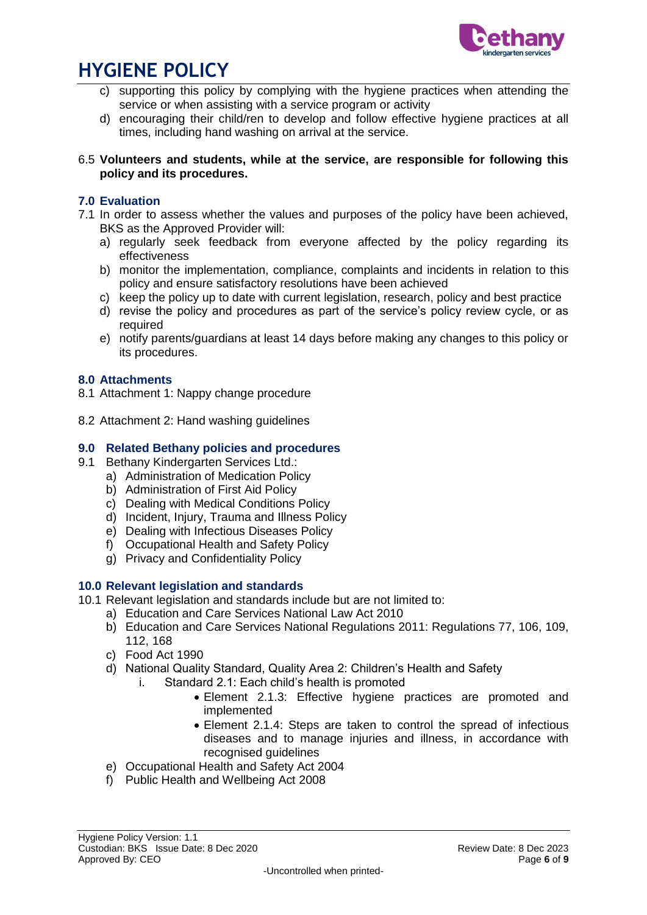

- c) supporting this policy by complying with the hygiene practices when attending the service or when assisting with a service program or activity
- d) encouraging their child/ren to develop and follow effective hygiene practices at all times, including hand washing on arrival at the service.

#### 6.5 **Volunteers and students, while at the service, are responsible for following this policy and its procedures.**

## **7.0 Evaluation**

- 7.1 In order to assess whether the values and purposes of the policy have been achieved, BKS as the Approved Provider will:
	- a) regularly seek feedback from everyone affected by the policy regarding its effectiveness
	- b) monitor the implementation, compliance, complaints and incidents in relation to this policy and ensure satisfactory resolutions have been achieved
	- c) keep the policy up to date with current legislation, research, policy and best practice
	- d) revise the policy and procedures as part of the service's policy review cycle, or as required
	- e) notify parents/guardians at least 14 days before making any changes to this policy or its procedures.

### **8.0 Attachments**

- 8.1 Attachment 1: Nappy change procedure
- 8.2 Attachment 2: Hand washing guidelines

### **9.0 Related Bethany policies and procedures**

- 9.1 Bethany Kindergarten Services Ltd.:
	- a) Administration of Medication Policy
	- b) Administration of First Aid Policy
	- c) Dealing with Medical Conditions Policy
	- d) Incident, Injury, Trauma and Illness Policy
	- e) Dealing with Infectious Diseases Policy
	- f) Occupational Health and Safety Policy
	- g) Privacy and Confidentiality Policy

### **10.0 Relevant legislation and standards**

- 10.1 Relevant legislation and standards include but are not limited to:
	- a) Education and Care Services National Law Act 2010
	- b) Education and Care Services National Regulations 2011: Regulations 77, 106, 109, 112, 168
	- c) Food Act 1990
	- d) National Quality Standard, Quality Area 2: Children's Health and Safety
		- i. Standard 2.1: Each child's health is promoted
			- Element 2.1.3: Effective hygiene practices are promoted and implemented
			- Element 2.1.4: Steps are taken to control the spread of infectious diseases and to manage injuries and illness, in accordance with recognised guidelines
	- e) Occupational Health and Safety Act 2004
	- f) Public Health and Wellbeing Act 2008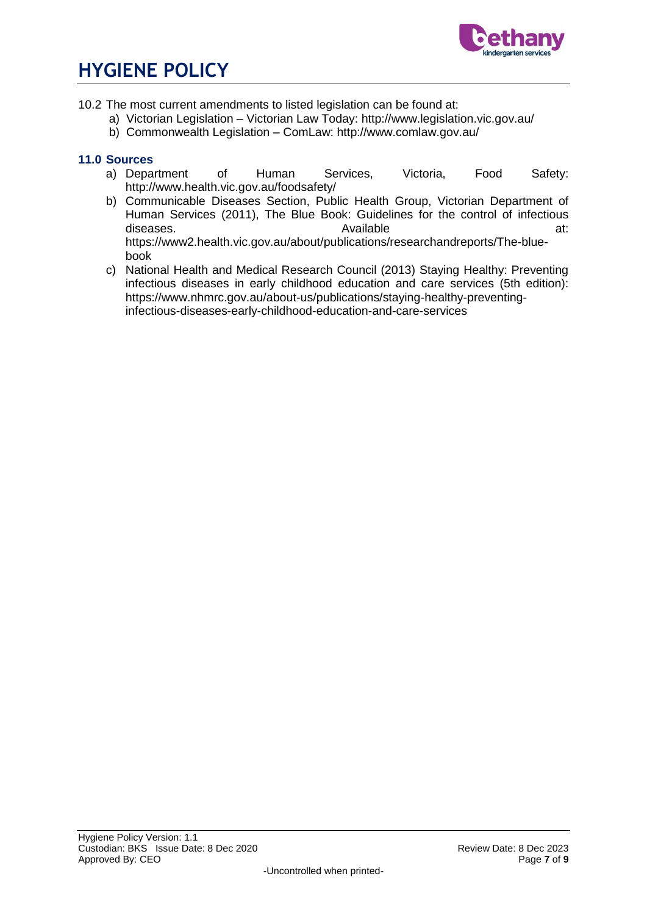

- 10.2 The most current amendments to listed legislation can be found at:
	- a) Victorian Legislation Victorian Law Today: http://www.legislation.vic.gov.au/
	- b) Commonwealth Legislation ComLaw: http://www.comlaw.gov.au/

### **11.0 Sources**

- a) Department of Human Services, Victoria, Food Safety: http://www.health.vic.gov.au/foodsafety/
- b) Communicable Diseases Section, Public Health Group, Victorian Department of Human Services (2011), The Blue Book: Guidelines for the control of infectious diseases. The contract of the Available contract at: the contract of the contract of the contract at: https://www2.health.vic.gov.au/about/publications/researchandreports/The-bluebook
- c) National Health and Medical Research Council (2013) Staying Healthy: Preventing infectious diseases in early childhood education and care services (5th edition): https://www.nhmrc.gov.au/about-us/publications/staying-healthy-preventinginfectious-diseases-early-childhood-education-and-care-services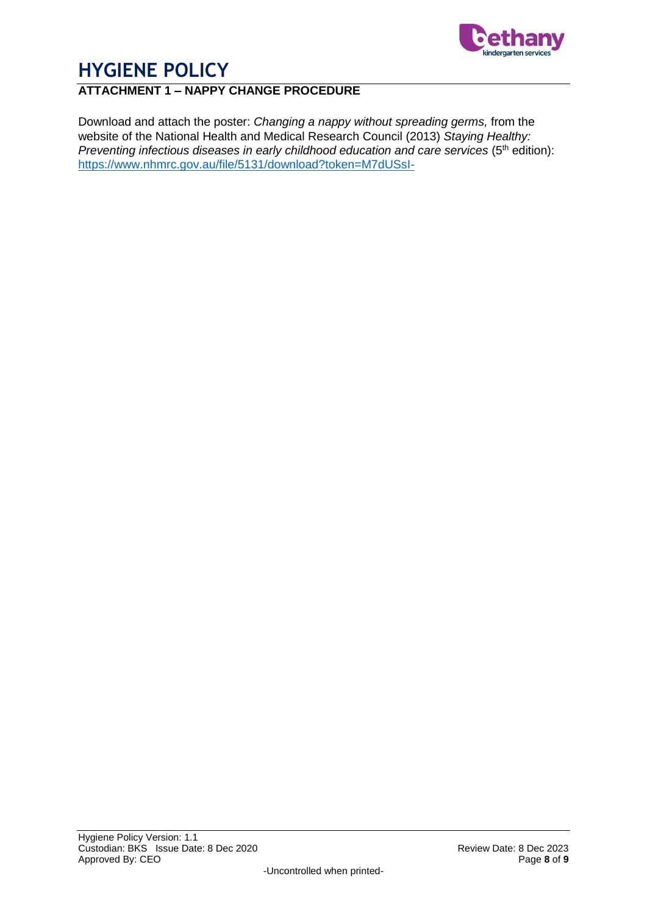

## **ATTACHMENT 1 – NAPPY CHANGE PROCEDURE**

Download and attach the poster: *Changing a nappy without spreading germs,* from the website of the National Health and Medical Research Council (2013) *Staying Healthy: Preventing infectious diseases in early childhood education and care services* (5<sup>th</sup> edition): <https://www.nhmrc.gov.au/file/5131/download?token=M7dUSsI->